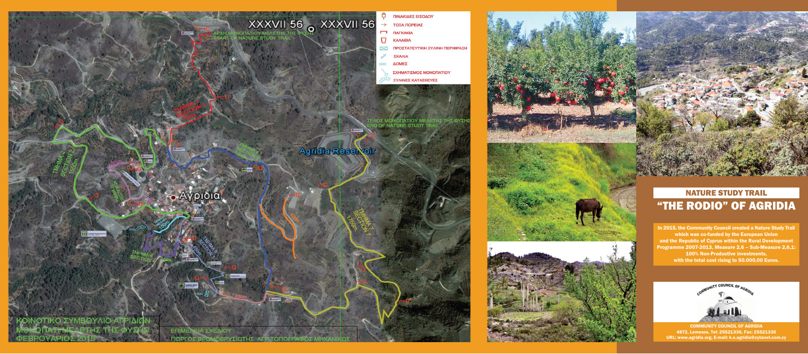In 2015, the Community Council created a Nature Study Trail which was co-funded by the European Union and the Republic of Cyprus within the Rural Development Programme 2007-2013, Measure 2,6 – Sub-Measure 2,6,1: 100% Non-Productive investments, with the total cost rising to 50.000,00 Euros.





## NATURE STUDY TRAIL "THE RODIO" OF AGRIDIA

COMMUNITY COUNCIL OF AGRIDIA 4872, Lemesos, Τel: 25521336, Fax: 25521336 URL: www.agridia.org, E-mail: k.s.agridia@cytanet.com.cy